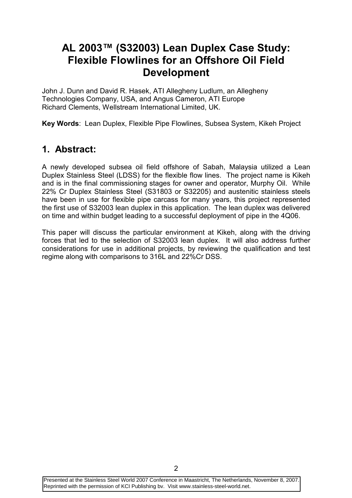# AL 2003™ (S32003) Lean Duplex Case Study: Flexible Flowlines for an Offshore Oil Field Development

John J. Dunn and David R. Hasek, ATI Allegheny Ludlum, an Allegheny Technologies Company, USA, and Angus Cameron, ATI Europe Richard Clements, Wellstream International Limited, UK.

Key Words: Lean Duplex, Flexible Pipe Flowlines, Subsea System, Kikeh Project

### 1. Abstract:

A newly developed subsea oil field offshore of Sabah, Malaysia utilized a Lean Duplex Stainless Steel (LDSS) for the flexible flow lines. The project name is Kikeh and is in the final commissioning stages for owner and operator, Murphy Oil. While 22% Cr Duplex Stainless Steel (S31803 or S32205) and austenitic stainless steels have been in use for flexible pipe carcass for many years, this project represented the first use of S32003 lean duplex in this application. The lean duplex was delivered on time and within budget leading to a successful deployment of pipe in the 4Q06.

This paper will discuss the particular environment at Kikeh, along with the driving forces that led to the selection of S32003 lean duplex. It will also address further considerations for use in additional projects, by reviewing the qualification and test regime along with comparisons to 316L and 22%Cr DSS.

Presented at the Stainless Steel World 2007 Conference in Maastricht, The Netherlands, November 8, 2007. Reprinted with the permission of KCI Publishing bv. Visit www.stainless-steel-world.net.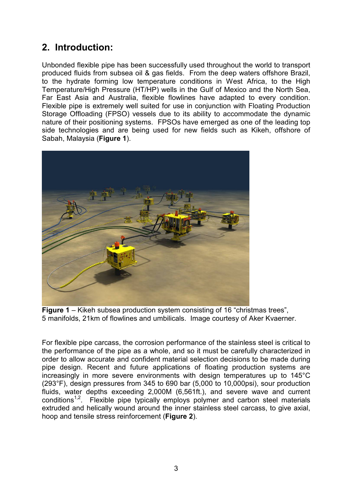# 2. Introduction:

Unbonded flexible pipe has been successfully used throughout the world to transport produced fluids from subsea oil & gas fields. From the deep waters offshore Brazil, to the hydrate forming low temperature conditions in West Africa, to the High Temperature/High Pressure (HT/HP) wells in the Gulf of Mexico and the North Sea, Far East Asia and Australia, flexible flowlines have adapted to every condition. Flexible pipe is extremely well suited for use in conjunction with Floating Production Storage Offloading (FPSO) vessels due to its ability to accommodate the dynamic nature of their positioning systems. FPSOs have emerged as one of the leading top side technologies and are being used for new fields such as Kikeh, offshore of Sabah, Malaysia (Figure 1).



Figure 1 – Kikeh subsea production system consisting of 16 "christmas trees", 5 manifolds, 21km of flowlines and umbilicals. Image courtesy of Aker Kvaerner.

For flexible pipe carcass, the corrosion performance of the stainless steel is critical to the performance of the pipe as a whole, and so it must be carefully characterized in order to allow accurate and confident material selection decisions to be made during pipe design. Recent and future applications of floating production systems are increasingly in more severe environments with design temperatures up to 145°C (293°F), design pressures from 345 to 690 bar (5,000 to 10,000psi), sour production fluids, water depths exceeding 2,000M (6,561ft.), and severe wave and current  $conditions<sup>1,2</sup>$ . Flexible pipe typically employs polymer and carbon steel materials extruded and helically wound around the inner stainless steel carcass, to give axial, hoop and tensile stress reinforcement (Figure 2).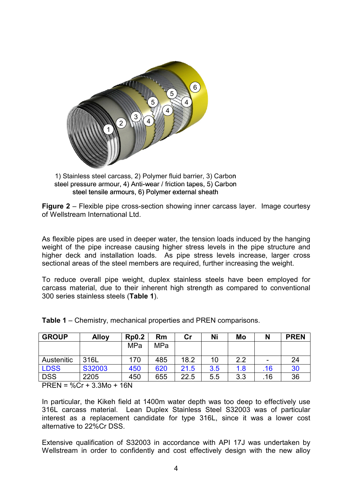

1) Stainless steel carcass, 2) Polymer fluid barrier, 3) Carbon steel pressure armour, 4) Anti-wear / friction tapes, 5) Carbon steel tensile armours, 6) Polymer external sheath

Figure 2 – Flexible pipe cross-section showing inner carcass layer. Image courtesy of Wellstream International Ltd.

As flexible pipes are used in deeper water, the tension loads induced by the hanging weight of the pipe increase causing higher stress levels in the pipe structure and higher deck and installation loads. As pipe stress levels increase, larger cross sectional areas of the steel members are required, further increasing the weight.

To reduce overall pipe weight, duplex stainless steels have been employed for carcass material, due to their inherent high strength as compared to conventional 300 series stainless steels (Table 1).

| <b>GROUP</b> | <b>Alloy</b> | <b>Rp0.2</b> | Rm  | Cr   | Ni  | Mo  |     | <b>PREN</b> |
|--------------|--------------|--------------|-----|------|-----|-----|-----|-------------|
|              |              | MPa          | MPa |      |     |     |     |             |
| Austenitic   | 316L         | 170          | 485 | 18.2 | 10  | 2.2 |     | 24          |
| <b>LDSS</b>  | S32003       | 450          | 620 | 21.5 | 3.5 | 1.8 | .16 | 30          |
| <b>DSS</b>   | 2205         | 450          | 655 | 22.5 | 5.5 | 3.3 | .16 | 36          |

Table 1 – Chemistry, mechanical properties and PREN comparisons.

PREN = %Cr + 3.3Mo + 16N

In particular, the Kikeh field at 1400m water depth was too deep to effectively use 316L carcass material. Lean Duplex Stainless Steel S32003 was of particular interest as a replacement candidate for type 316L, since it was a lower cost alternative to 22%Cr DSS.

Extensive qualification of S32003 in accordance with API 17J was undertaken by Wellstream in order to confidently and cost effectively design with the new alloy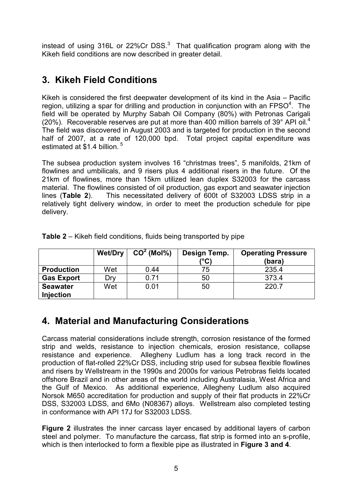instead of using 316L or 22%Cr DSS. $3$  That qualification program along with the Kikeh field conditions are now described in greater detail.

# 3. Kikeh Field Conditions

Kikeh is considered the first deepwater development of its kind in the Asia – Pacific region, utilizing a spar for drilling and production in conjunction with an FPSO $4$ . The field will be operated by Murphy Sabah Oil Company (80%) with Petronas Carigali (20%). Recoverable reserves are put at more than 400 million barrels of 39 $^{\circ}$  API oil.<sup>4</sup> The field was discovered in August 2003 and is targeted for production in the second half of 2007, at a rate of 120,000 bpd. Total project capital expenditure was estimated at \$1.4 billion.<sup>5</sup>

The subsea production system involves 16 "christmas trees", 5 manifolds, 21km of flowlines and umbilicals, and 9 risers plus 4 additional risers in the future. Of the 21km of flowlines, more than 15km utilized lean duplex S32003 for the carcass material. The flowlines consisted of oil production, gas export and seawater injection lines (Table 2). This necessitated delivery of 600t of S32003 LDSS strip in a relatively tight delivery window, in order to meet the production schedule for pipe delivery.

|                   | <b>Wet/Dry</b> | $CO2$ (Mol%) | Design Temp.<br>(°C) | <b>Operating Pressure</b><br>(bara) |
|-------------------|----------------|--------------|----------------------|-------------------------------------|
| <b>Production</b> | Wet            | 0.44         | 75                   | 235.4                               |
| <b>Gas Export</b> | Drv            | 0.71         | 50                   | 373.4                               |
| <b>Seawater</b>   | Wet            | 0.01         | 50                   | 220.7                               |
| <b>Injection</b>  |                |              |                      |                                     |

Table 2 – Kikeh field conditions, fluids being transported by pipe

## 4. Material and Manufacturing Considerations

Carcass material considerations include strength, corrosion resistance of the formed strip and welds, resistance to injection chemicals, erosion resistance, collapse resistance and experience. Allegheny Ludlum has a long track record in the production of flat-rolled 22%Cr DSS, including strip used for subsea flexible flowlines and risers by Wellstream in the 1990s and 2000s for various Petrobras fields located offshore Brazil and in other areas of the world including Australasia, West Africa and the Gulf of Mexico. As additional experience, Allegheny Ludlum also acquired Norsok M650 accreditation for production and supply of their flat products in 22%Cr DSS, S32003 LDSS, and 6Mo (N08367) alloys. Wellstream also completed testing in conformance with API 17J for S32003 LDSS.

Figure 2 illustrates the inner carcass layer encased by additional layers of carbon steel and polymer. To manufacture the carcass, flat strip is formed into an s-profile, which is then interlocked to form a flexible pipe as illustrated in Figure 3 and 4.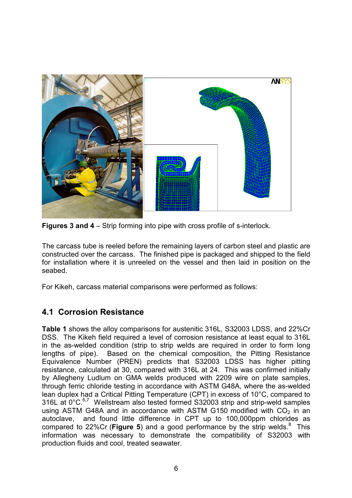

Figures 3 and 4 – Strip forming into pipe with cross profile of s-interlock.

The carcass tube is reeled before the remaining layers of carbon steel and plastic are constructed over the carcass. The finished pipe is packaged and shipped to the field for installation where it is unreeled on the vessel and then laid in position on the seabed.

For Kikeh, carcass material comparisons were performed as follows:

#### 4.1 Corrosion Resistance

Table 1 shows the alloy comparisons for austenitic 316L, S32003 LDSS, and 22%Cr DSS. The Kikeh field required a level of corrosion resistance at least equal to 316L in the as-welded condition (strip to strip welds are required in order to form long lengths of pipe). Based on the chemical composition, the Pitting Resistance Equivalence Number (PREN) predicts that S32003 LDSS has higher pitting resistance, calculated at 30, compared with 316L at 24. This was confirmed initially by Allegheny Ludlum on GMA welds produced with 2209 wire on plate samples, through ferric chloride testing in accordance with ASTM G48A, where the as-welded lean duplex had a Critical Pitting Temperature (CPT) in excess of 10°C, compared to 316L at 0°C.<sup>6,7</sup> Wellstream also tested formed S32003 strip and strip-weld samples using ASTM G48A and in accordance with ASTM G150 modified with  $CO<sub>2</sub>$  in an autoclave, and found little difference in CPT up to 100,000ppm chlorides as compared to 22%Cr (Figure 5) and a good performance by the strip welds. $8$  This information was necessary to demonstrate the compatibility of S32003 with production fluids and cool, treated seawater.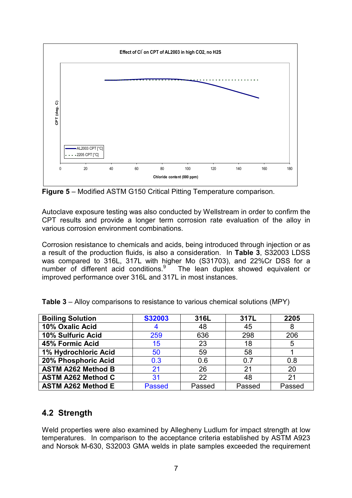

Figure 5 – Modified ASTM G150 Critical Pitting Temperature comparison.

Autoclave exposure testing was also conducted by Wellstream in order to confirm the CPT results and provide a longer term corrosion rate evaluation of the alloy in various corrosion environment combinations.

Corrosion resistance to chemicals and acids, being introduced through injection or as a result of the production fluids, is also a consideration. In Table 3, S32003 LDSS was compared to 316L, 317L with higher Mo (S31703), and 22%Cr DSS for a number of different acid conditions.  $9^{\circ}$  The lean duplex showed equivalent or improved performance over 316L and 317L in most instances.

| <b>Boiling Solution</b>   | <b>S32003</b> | 316L   | 317L   | 2205   |
|---------------------------|---------------|--------|--------|--------|
| 10% Oxalic Acid           |               | 48     | 45     | 8      |
| 10% Sulfuric Acid         | 259           | 636    | 298    | 206    |
| 45% Formic Acid           | 15            | 23     | 18     | 5      |
| 1% Hydrochloric Acid      | 50            | 59     | 58     |        |
| 20% Phosphoric Acid       | 0.3           | 0.6    | 0.7    | 0.8    |
| <b>ASTM A262 Method B</b> | 21            | 26     | 21     | 20     |
| <b>ASTM A262 Method C</b> | 31            | 22     | 48     | 21     |
| <b>ASTM A262 Method E</b> | <b>Passed</b> | Passed | Passed | Passed |

#### 4.2 Strength

Weld properties were also examined by Allegheny Ludlum for impact strength at low temperatures. In comparison to the acceptance criteria established by ASTM A923 and Norsok M-630, S32003 GMA welds in plate samples exceeded the requirement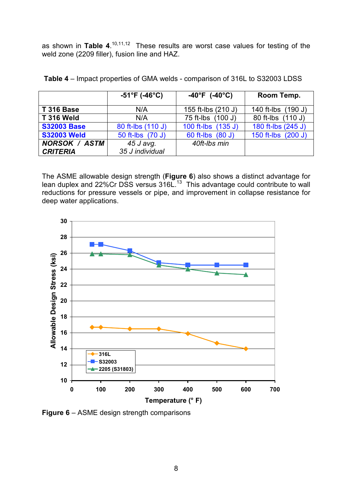as shown in Table 4.<sup>10,11,12</sup> These results are worst case values for testing of the weld zone (2209 filler), fusion line and HAZ.

|                      | $-51^{\circ}$ F (-46°C) | $-40^{\circ}$ F (-40 $^{\circ}$ C) | Room Temp.         |
|----------------------|-------------------------|------------------------------------|--------------------|
| <b>T 316 Base</b>    | N/A                     | 155 ft-lbs (210 J)                 | 140 ft-lbs (190 J) |
| <b>T 316 Weld</b>    | N/A                     | 75 ft-lbs (100 J)                  | 80 ft-lbs (110 J)  |
| <b>S32003 Base</b>   | 80 ft-lbs (110 J)       | 100 ft-lbs (135 J)                 | 180 ft-lbs (245 J) |
| <b>S32003 Weld</b>   | 50 ft-lbs (70 J)        | 60 ft-lbs (80 J)                   | 150 ft-lbs (200 J) |
| <b>NORSOK / ASTM</b> | 45 J avg.               | 40ft-lbs min                       |                    |
| <b>CRITERIA</b>      | 35 J individual         |                                    |                    |

|  |  | Table 4 – Impact properties of GMA welds - comparison of 316L to S32003 LDSS |
|--|--|------------------------------------------------------------------------------|
|--|--|------------------------------------------------------------------------------|

The ASME allowable design strength (Figure 6) also shows a distinct advantage for lean duplex and 22%Cr DSS versus  $316L^{13}$  This advantage could contribute to wall reductions for pressure vessels or pipe, and improvement in collapse resistance for deep water applications.



Figure 6 – ASME design strength comparisons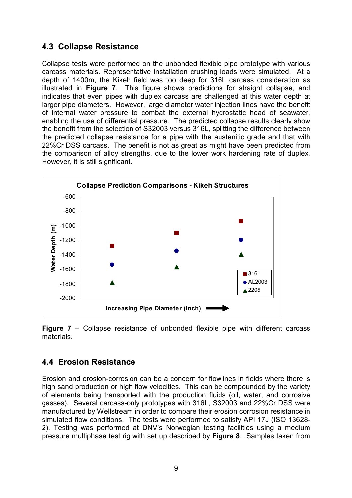### 4.3 Collapse Resistance

Collapse tests were performed on the unbonded flexible pipe prototype with various carcass materials. Representative installation crushing loads were simulated. At a depth of 1400m, the Kikeh field was too deep for 316L carcass consideration as illustrated in Figure 7. This figure shows predictions for straight collapse, and indicates that even pipes with duplex carcass are challenged at this water depth at larger pipe diameters. However, large diameter water injection lines have the benefit of internal water pressure to combat the external hydrostatic head of seawater, enabling the use of differential pressure. The predicted collapse results clearly show the benefit from the selection of S32003 versus 316L, splitting the difference between the predicted collapse resistance for a pipe with the austenitic grade and that with 22%Cr DSS carcass. The benefit is not as great as might have been predicted from the comparison of alloy strengths, due to the lower work hardening rate of duplex. However, it is still significant.



Figure 7 – Collapse resistance of unbonded flexible pipe with different carcass materials.

### 4.4 Erosion Resistance

Erosion and erosion-corrosion can be a concern for flowlines in fields where there is high sand production or high flow velocities. This can be compounded by the variety of elements being transported with the production fluids (oil, water, and corrosive gasses). Several carcass-only prototypes with 316L, S32003 and 22%Cr DSS were manufactured by Wellstream in order to compare their erosion corrosion resistance in simulated flow conditions. The tests were performed to satisfy API 17J (ISO 13628- 2). Testing was performed at DNV's Norwegian testing facilities using a medium pressure multiphase test rig with set up described by Figure 8. Samples taken from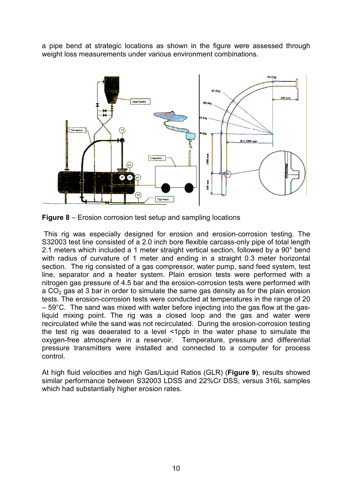a pipe bend at strategic locations as shown in the figure were assessed through weight loss measurements under various environment combinations.



**Figure 8** – Erosion corrosion test setup and sampling locations

 This rig was especially designed for erosion and erosion-corrosion testing. The S32003 test line consisted of a 2.0 inch bore flexible carcass-only pipe of total length 2.1 meters which included a 1 meter straight vertical section, followed by a 90° bend with radius of curvature of 1 meter and ending in a straight 0.3 meter horizontal section. The rig consisted of a gas compressor, water pump, sand feed system, test line, separator and a heater system. Plain erosion tests were performed with a nitrogen gas pressure of 4.5 bar and the erosion-corrosion tests were performed with a  $CO<sub>2</sub>$  gas at 3 bar in order to simulate the same gas density as for the plain erosion tests. The erosion-corrosion tests were conducted at temperatures in the range of 20 – 59°C. The sand was mixed with water before injecting into the gas flow at the gasliquid mixing point. The rig was a closed loop and the gas and water were recirculated while the sand was not recirculated. During the erosion-corrosion testing the test rig was deaerated to a level <1ppb in the water phase to simulate the oxygen-free atmosphere in a reservoir. Temperature, pressure and differential pressure transmitters were installed and connected to a computer for process control.

At high fluid velocities and high Gas/Liquid Ratios (GLR) (Figure 9), results showed similar performance between S32003 LDSS and 22%Cr DSS, versus 316L samples which had substantially higher erosion rates.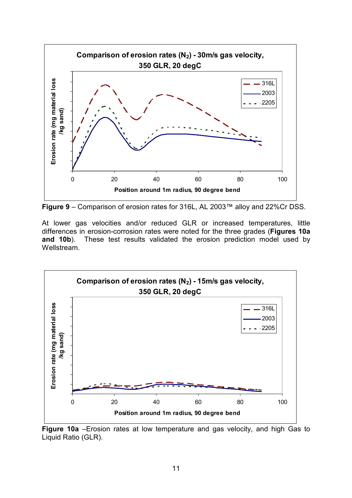

Figure 9 – Comparison of erosion rates for 316L, AL 2003™ alloy and 22%Cr DSS.

At lower gas velocities and/or reduced GLR or increased temperatures, little differences in erosion-corrosion rates were noted for the three grades (Figures 10a and 10b). These test results validated the erosion prediction model used by Wellstream.



Figure 10a –Erosion rates at low temperature and gas velocity, and high Gas to Liquid Ratio (GLR).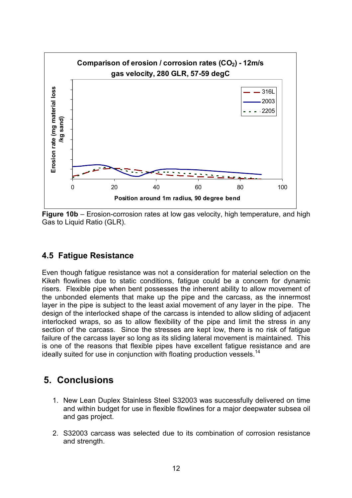

Figure 10b – Erosion-corrosion rates at low gas velocity, high temperature, and high Gas to Liquid Ratio (GLR).

#### 4.5 Fatigue Resistance

Even though fatigue resistance was not a consideration for material selection on the Kikeh flowlines due to static conditions, fatigue could be a concern for dynamic risers. Flexible pipe when bent possesses the inherent ability to allow movement of the unbonded elements that make up the pipe and the carcass, as the innermost layer in the pipe is subject to the least axial movement of any layer in the pipe. The design of the interlocked shape of the carcass is intended to allow sliding of adjacent interlocked wraps, so as to allow flexibility of the pipe and limit the stress in any section of the carcass. Since the stresses are kept low, there is no risk of fatigue failure of the carcass layer so long as its sliding lateral movement is maintained. This is one of the reasons that flexible pipes have excellent fatigue resistance and are ideally suited for use in conjunction with floating production vessels.<sup>14</sup>

## 5. Conclusions

- 1. New Lean Duplex Stainless Steel S32003 was successfully delivered on time and within budget for use in flexible flowlines for a major deepwater subsea oil and gas project.
- 2. S32003 carcass was selected due to its combination of corrosion resistance and strength.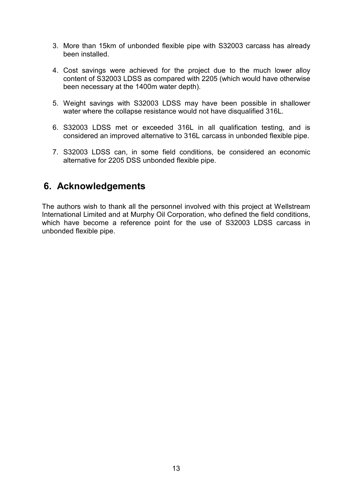- 3. More than 15km of unbonded flexible pipe with S32003 carcass has already been installed.
- 4. Cost savings were achieved for the project due to the much lower alloy content of S32003 LDSS as compared with 2205 (which would have otherwise been necessary at the 1400m water depth).
- 5. Weight savings with S32003 LDSS may have been possible in shallower water where the collapse resistance would not have disqualified 316L.
- 6. S32003 LDSS met or exceeded 316L in all qualification testing, and is considered an improved alternative to 316L carcass in unbonded flexible pipe.
- 7. S32003 LDSS can, in some field conditions, be considered an economic alternative for 2205 DSS unbonded flexible pipe.

## 6. Acknowledgements

The authors wish to thank all the personnel involved with this project at Wellstream International Limited and at Murphy Oil Corporation, who defined the field conditions, which have become a reference point for the use of S32003 LDSS carcass in unbonded flexible pipe.